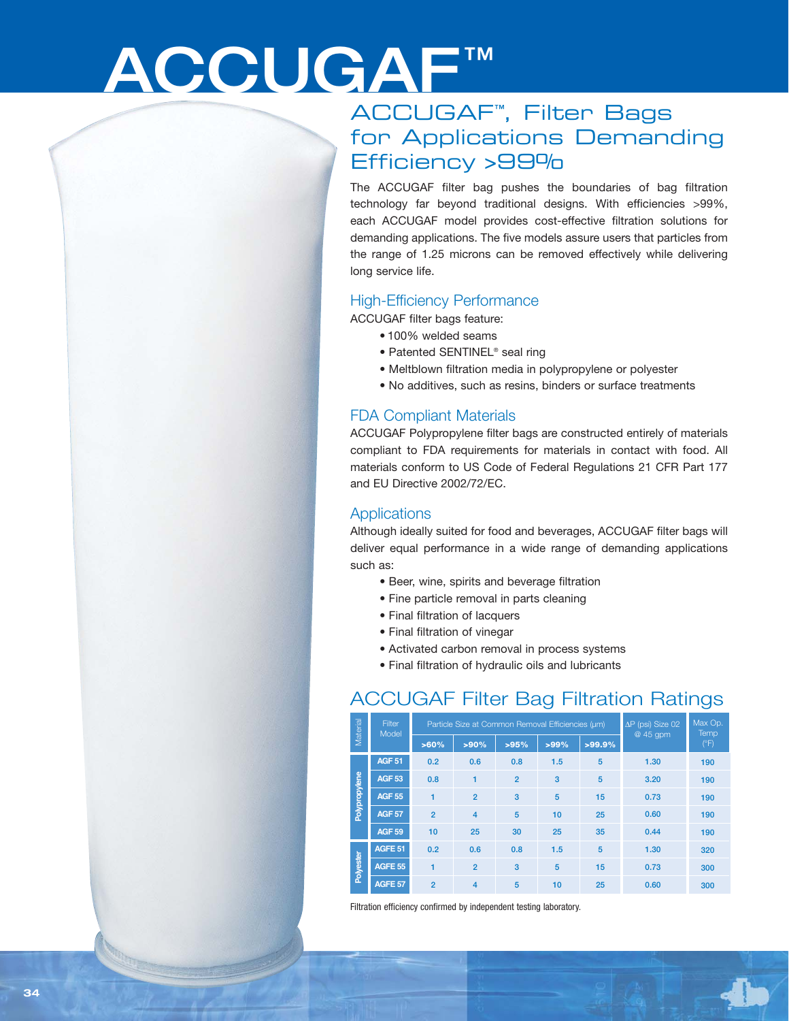# ACCUGAF™

## ACCUGAF™, Filter Bags for Applications Demanding Efficiency >99%

The ACCUGAF filter bag pushes the boundaries of bag filtration technology far beyond traditional designs. With efficiencies >99%, each ACCUGAF model provides cost-effective filtration solutions for demanding applications. The five models assure users that particles from the range of 1.25 microns can be removed effectively while delivering long service life.

#### High-Efficiency Performance

ACCUGAF filter bags feature:

- 100% welded seams
- Patented SENTINEL<sup>®</sup> seal ring
- Meltblown filtration media in polypropylene or polyester
- No additives, such as resins, binders or surface treatments

#### FDA Compliant Materials

ACCUGAF Polypropylene filter bags are constructed entirely of materials compliant to FDA requirements for materials in contact with food. All materials conform to US Code of Federal Regulations 21 CFR Part 177 and EU Directive 2002/72/EC.

#### **Applications**

Although ideally suited for food and beverages, ACCUGAF filter bags will deliver equal performance in a wide range of demanding applications such as:

- Beer, wine, spirits and beverage filtration
- Fine particle removal in parts cleaning
- Final filtration of lacquers
- Final filtration of vinegar
- Activated carbon removal in process systems
- Final filtration of hydraulic oils and lubricants

### ACCUGAF Filter Bag Filtration Ratings

| Material      | Filter<br>Model | Particle Size at Common Removal Efficiencies (um) |                         |                |         |           | $\Delta P$ (psi) Size 02<br>@ 45 gpm | Max Op.<br>Temp. |
|---------------|-----------------|---------------------------------------------------|-------------------------|----------------|---------|-----------|--------------------------------------|------------------|
|               |                 | >60%                                              | >90%                    | >95%           | $>99\%$ | $>99.9\%$ |                                      | (°F)             |
| Polypropylene | <b>AGF 51</b>   | 0.2                                               | 0.6                     | 0.8            | 1.5     | 5         | 1.30                                 | 190              |
|               | <b>AGF 53</b>   | 0.8                                               | 1                       | $\overline{2}$ | 3       | 5         | 3.20                                 | 190              |
|               | <b>AGF 55</b>   | 1                                                 | $\overline{2}$          | 3              | 5       | 15        | 0.73                                 | 190              |
|               | <b>AGF 57</b>   | $\overline{2}$                                    | $\overline{\mathbf{4}}$ | 5              | 10      | 25        | 0.60                                 | 190              |
|               | <b>AGF 59</b>   | 10                                                | 25                      | 30             | 25      | 35        | 0.44                                 | 190              |
| Polyester     | AGFE 51         | 0.2                                               | 0.6                     | 0.8            | 1.5     | 5         | 1.30                                 | 320              |
|               | <b>AGFE 55</b>  | $\overline{\mathbf{1}}$                           | $\overline{2}$          | 3              | 5       | 15        | 0.73                                 | 300              |
|               | AGFE 57         | $\overline{2}$                                    | $\overline{4}$          | 5              | 10      | 25        | 0.60                                 | 300              |

Filtration efficiency confirmed by independent testing laboratory.